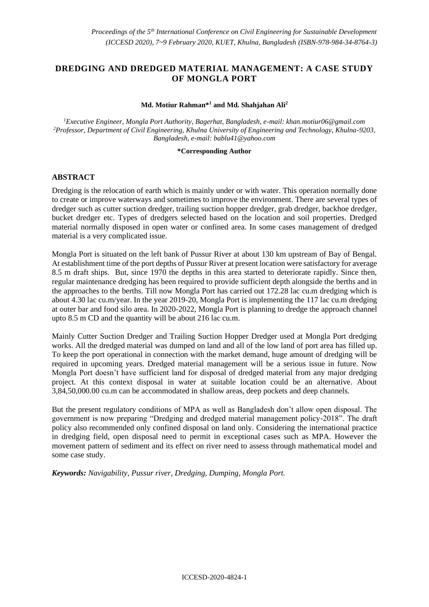# **DREDGING AND DREDGED MATERIAL MANAGEMENT: A CASE STUDY OF MONGLA PORT**

#### **Md. Motiur Rahman\*<sup>1</sup> and Md. Shahjahan Ali<sup>2</sup>**

*<sup>1</sup>Executive Engineer, Mongla Port Authority, Bagerhat, Bangladesh, e-mail: khan.motiur06@gmail.com <sup>2</sup>Professor, Department of Civil Engineering, Khulna University of Engineering and Technology, Khulna-9203, Bangladesh, e-mail: bablu41@yahoo.com* 

#### **\*Corresponding Author**

#### **ABSTRACT**

Dredging is the relocation of earth which is mainly under or with water. This operation normally done to create or improve waterways and sometimes to improve the environment. There are several types of dredger such as cutter suction dredger, trailing suction hopper dredger, grab dredger, backhoe dredger, bucket dredger etc. Types of dredgers selected based on the location and soil properties. Dredged material normally disposed in open water or confined area. In some cases management of dredged material is a very complicated issue.

Mongla Port is situated on the left bank of Pussur River at about 130 km upstream of Bay of Bengal. At establishment time of the port depths of Pussur River at present location were satisfactory for average 8.5 m draft ships. But, since 1970 the depths in this area started to deteriorate rapidly. Since then, regular maintenance dredging has been required to provide sufficient depth alongside the berths and in the approaches to the berths. Till now Mongla Port has carried out 172.28 lac cu.m dredging which is about 4.30 lac cu.m/year. In the year 2019-20, Mongla Port is implementing the 117 lac cu.m dredging at outer bar and food silo area. In 2020-2022, Mongla Port is planning to dredge the approach channel upto 8.5 m CD and the quantity will be about 216 lac cu.m.

Mainly Cutter Suction Dredger and Trailing Suction Hopper Dredger used at Mongla Port dredging works. All the dredged material was dumped on land and all of the low land of port area has filled up. To keep the port operational in connection with the market demand, huge amount of dredging will be required in upcoming years. Dredged material management will be a serious issue in future. Now Mongla Port doesn't have sufficient land for disposal of dredged material from any major dredging project. At this context disposal in water at suitable location could be an alternative. About 3,84,50,000.00 cu.m can be accommodated in shallow areas, deep pockets and deep channels.

But the present regulatory conditions of MPA as well as Bangladesh don't allow open disposal. The government is now preparing "Dredging and dredged material management policy-2018". The draft policy also recommended only confined disposal on land only. Considering the international practice in dredging field, open disposal need to permit in exceptional cases such as MPA. However the movement pattern of sediment and its effect on river need to assess through mathematical model and some case study.

*Keywords: Navigability, Pussur river, Dredging, Dumping, Mongla Port.*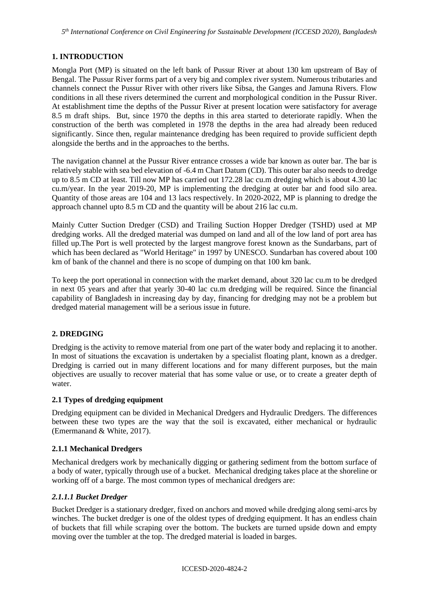#### **1. INTRODUCTION**

Mongla Port (MP) is situated on the left bank of Pussur River at about 130 km upstream of Bay of Bengal. The Pussur River forms part of a very big and complex river system. Numerous tributaries and channels connect the Pussur River with other rivers like Sibsa, the Ganges and Jamuna Rivers. Flow conditions in all these rivers determined the current and morphological condition in the Pussur River. At establishment time the depths of the Pussur River at present location were satisfactory for average 8.5 m draft ships. But, since 1970 the depths in this area started to deteriorate rapidly. When the construction of the berth was completed in 1978 the depths in the area had already been reduced significantly. Since then, regular maintenance dredging has been required to provide sufficient depth alongside the berths and in the approaches to the berths.

The navigation channel at the Pussur River entrance crosses a wide bar known as outer bar. The bar is relatively stable with sea bed elevation of -6.4 m Chart Datum (CD). This outer bar also needs to dredge up to 8.5 m CD at least. Till now MP has carried out 172.28 lac cu.m dredging which is about 4.30 lac cu.m/year. In the year 2019-20, MP is implementing the dredging at outer bar and food silo area. Quantity of those areas are 104 and 13 lacs respectively. In 2020-2022, MP is planning to dredge the approach channel upto 8.5 m CD and the quantity will be about 216 lac cu.m.

Mainly Cutter Suction Dredger (CSD) and Trailing Suction Hopper Dredger (TSHD) used at MP dredging works. All the dredged material was dumped on land and all of the low land of port area has filled up.The Port is well protected by the largest mangrove forest known as the Sundarbans, part of which has been declared as "World Heritage" in 1997 by UNESCO. Sundarban has covered about 100 km of bank of the channel and there is no scope of dumping on that 100 km bank.

To keep the port operational in connection with the market demand, about 320 lac cu.m to be dredged in next 05 years and after that yearly 30-40 lac cu.m dredging will be required. Since the financial capability of Bangladesh in increasing day by day, financing for dredging may not be a problem but dredged material management will be a serious issue in future.

#### **2. DREDGING**

Dredging is the activity to remove material from one part of the water body and replacing it to another. In most of situations the excavation is undertaken by a specialist floating plant, known as a dredger. Dredging is carried out in many different locations and for many different purposes, but the main objectives are usually to recover material that has some value or use, or to create a greater depth of water.

#### **2.1 Types of dredging equipment**

Dredging equipment can be divided in Mechanical Dredgers and Hydraulic Dredgers. The differences between these two types are the way that the soil is excavated, either mechanical or hydraulic (Emermanand & White, 2017).

#### **2.1.1 Mechanical Dredgers**

Mechanical dredgers work by mechanically digging or gathering sediment from the bottom surface of a body of water, typically through use of a bucket. Mechanical dredging takes place at the shoreline or working off of a barge. The most common types of mechanical dredgers are:

#### *2.1.1.1 Bucket Dredger*

Bucket Dredger is a stationary dredger, fixed on anchors and moved while dredging along semi-arcs by winches. The bucket dredger is one of the oldest types of dredging equipment. It has an endless chain of buckets that fill while scraping over the bottom. The buckets are turned upside down and empty moving over the tumbler at the top. The dredged material is loaded in barges.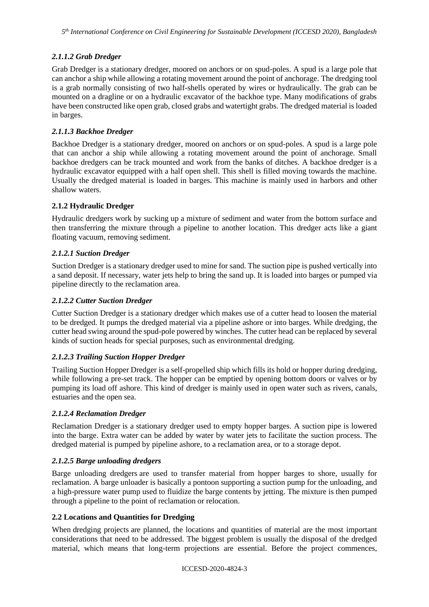# *2.1.1.2 Grab Dredger*

Grab Dredger is a stationary dredger, moored on anchors or on spud-poles. A spud is a large pole that can anchor a ship while allowing a rotating movement around the point of anchorage. The dredging tool is a grab normally consisting of two half-shells operated by wires or hydraulically. The grab can be mounted on a dragline or on a hydraulic excavator of the backhoe type. Many modifications of grabs have been constructed like open grab, closed grabs and watertight grabs. The dredged material is loaded in barges.

## *2.1.1.3 Backhoe Dredger*

Backhoe Dredger is a stationary dredger, moored on anchors or on spud-poles. A spud is a large pole that can anchor a ship while allowing a rotating movement around the point of anchorage. Small backhoe dredgers can be track mounted and work from the banks of ditches. A backhoe dredger is a hydraulic excavator equipped with a half open shell. This shell is filled moving towards the machine. Usually the dredged material is loaded in barges. This machine is mainly used in harbors and other shallow waters.

# **2.1.2 Hydraulic Dredger**

Hydraulic dredgers work by sucking up a mixture of sediment and water from the bottom surface and then transferring the mixture through a pipeline to another location. This dredger acts like a giant floating vacuum, removing sediment.

# *2.1.2.1 Suction Dredger*

Suction Dredger is a stationary dredger used to mine for sand. The suction pipe is pushed vertically into a sand deposit. If necessary, water jets help to bring the sand up. It is loaded into barges or pumped via pipeline directly to the reclamation area.

## *2.1.2.2 Cutter Suction Dredger*

Cutter Suction Dredger is a stationary dredger which makes use of a cutter head to loosen the material to be dredged. It pumps the dredged material via a pipeline ashore or into barges. While dredging, the cutter head swing around the spud-pole powered by winches. The cutter head can be replaced by several kinds of suction heads for special purposes, such as environmental dredging.

## *2.1.2.3 Trailing Suction Hopper Dredger*

Trailing Suction Hopper Dredger is a self-propelled ship which fills its hold or hopper during dredging, while following a pre-set track. The hopper can be emptied by opening bottom doors or valves or by pumping its load off ashore. This kind of dredger is mainly used in open water such as rivers, canals, estuaries and the open sea.

## *2.1.2.4 Reclamation Dredger*

Reclamation Dredger is a stationary dredger used to empty hopper barges. A suction pipe is lowered into the barge. Extra water can be added by water by water jets to facilitate the suction process. The dredged material is pumped by pipeline ashore, to a reclamation area, or to a storage depot.

## *2.1.2.5 Barge unloading dredgers*

Barge unloading dredgers are used to transfer material from hopper barges to shore, usually for reclamation. A barge unloader is basically a pontoon supporting a suction pump for the unloading, and a high-pressure water pump used to fluidize the barge contents by jetting. The mixture is then pumped through a pipeline to the point of reclamation or relocation.

## **2.2 Locations and Quantities for Dredging**

When [dredging](http://www.pilebuck.com/projects/) projects are planned, the locations and quantities of material are the most important considerations that need to be addressed. The biggest problem is usually the disposal of the dredged material, which means that long-term projections are essential. Before the project commences,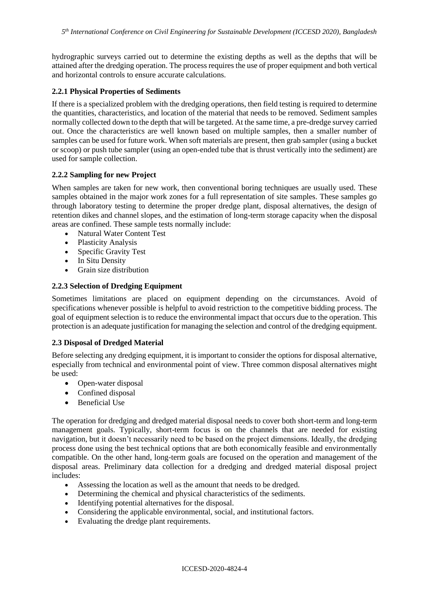hydrographic surveys carried out to determine the existing depths as well as the depths that will be attained after the dredging operation. The process requires the use of proper equipment and both vertical and horizontal controls to ensure accurate calculations.

#### **2.2.1 Physical Properties of Sediments**

If there is a specialized problem with the dredging operations, then field testing is required to determine the quantities, characteristics, and location of the material that needs to be removed. Sediment samples normally collected down to the depth that will be targeted. At the same time, a pre-dredge survey carried out. Once the characteristics are well known based on multiple samples, then a smaller number of samples can be used for future work. When soft materials are present, then grab sampler (using a bucket or scoop) or push tube sampler (using an open-ended tube that is thrust vertically into the sediment) are used for sample collection.

#### **2.2.2 Sampling for new Project**

When samples are taken for new work, then conventional boring techniques are usually used. These samples obtained in the major work zones for a full representation of site samples. These samples go through laboratory testing to determine the proper dredge plant, disposal alternatives, the design of retention dikes and channel slopes, and the estimation of long-term storage capacity when the disposal areas are confined. These sample tests normally include:

- Natural Water Content Test
- Plasticity Analysis
- Specific Gravity Test
- In Situ Density
- Grain size distribution

#### **2.2.3 Selection of Dredging Equipment**

Sometimes limitations are placed on equipment depending on the circumstances. Avoid of specifications whenever possible is helpful to avoid restriction to the competitive bidding process. The goal of [equipment](https://www.steelgiantmarket.com/) selection is to reduce the environmental impact that occurs due to the operation. This protection is an adequate justification for managing the selection and control of the dredging equipment.

#### **2.3 Disposal of Dredged Material**

Before selecting any dredging equipment, it is important to consider the options for disposal alternative, especially from technical and environmental point of view. Three common disposal alternatives might be used:

- Open-water disposal
- Confined disposal
- Beneficial Use

The operation for dredging and dredged material disposal needs to cover both short-term and long-term management goals. Typically, short-term focus is on the channels that are needed for existing navigation, but it doesn't necessarily need to be based on the project dimensions. Ideally, the dredging process done using the best technical options that are both economically feasible and environmentally compatible. On the other hand, long-term goals are focused on the operation and management of the disposal areas. Preliminary data collection for a dredging and dredged material disposal project includes:

- Assessing the location as well as the amount that needs to be dredged.
- Determining the chemical and physical characteristics of the sediments.
- Identifying potential alternatives for the disposal.
- Considering the applicable environmental, social, and institutional factors.<br>• Evaluating the dredge plant requirements.
- Evaluating the dredge plant requirements.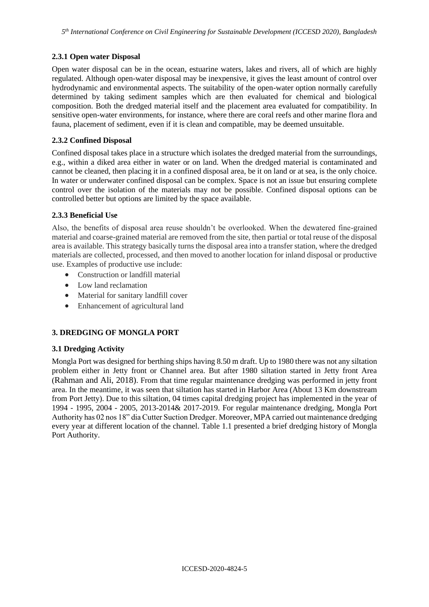# **2.3.1 Open water Disposal**

Open water disposal can be in the ocean, estuarine waters, lakes and rivers, all of which are highly regulated. Although open-water disposal may be inexpensive, it gives the least amount of control over hydrodynamic and environmental aspects. The suitability of the open-water option normally carefully determined by taking sediment samples which are then evaluated for chemical and biological composition. Both the dredged material itself and the placement area evaluated for compatibility. In sensitive open-water environments, for instance, where there are coral reefs and other marine flora and fauna, placement of sediment, even if it is clean and compatible, may be deemed unsuitable.

## **2.3.2 Confined Disposal**

Confined disposal takes place in a structure which isolates the dredged material from the surroundings, e.g., within a diked area either in water or on land. When the dredged material is contaminated and cannot be cleaned, then placing it in a confined disposal area, be it on land or at sea, is the only choice. In water or underwater confined disposal can be complex. Space is not an issue but ensuring complete control over the isolation of the materials may not be possible. Confined disposal options can be controlled better but options are limited by the space available.

# **2.3.3 Beneficial Use**

Also, the benefits of disposal area reuse shouldn't be overlooked. When the dewatered fine-grained material and coarse-grained material are removed from the site, then partial or total reuse of the disposal area is available. This strategy basically turns the disposal area into a transfer station, where the dredged materials are collected, processed, and then moved to another location for inland disposal or productive use. Examples of productive use include:

- Construction or landfill material
- Low land reclamation
- Material for sanitary landfill cover
- Enhancement of agricultural land

# **3. DREDGING OF MONGLA PORT**

## **3.1 Dredging Activity**

Mongla Port was designed for berthing ships having 8.50 m draft. Up to 1980 there was not any siltation problem either in Jetty front or Channel area. But after 1980 siltation started in Jetty front Area (Rahman and Ali, 2018). From that time regular maintenance dredging was performed in jetty front area. In the meantime, it was seen that siltation has started in Harbor Area (About 13 Km downstream from Port Jetty). Due to this siltation, 04 times capital dredging project has implemented in the year of 1994 - 1995, 2004 - 2005, 2013-2014& 2017-2019. For regular maintenance dredging, Mongla Port Authority has 02 nos 18" dia Cutter Suction Dredger. Moreover, MPA carried out maintenance dredging every year at different location of the channel. Table 1.1 presented a brief dredging history of Mongla Port Authority.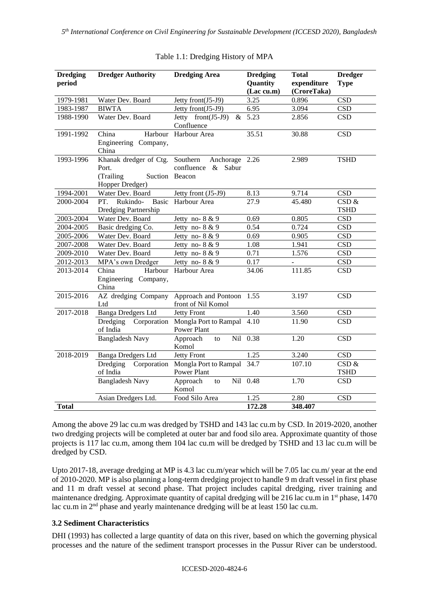| <b>Dredging</b><br>period | <b>Dredger Authority</b>                                         | <b>Dredging Area</b>                                                  | <b>Dredging</b><br><b>Quantity</b><br>(Lac cu.m) | <b>Total</b><br>expenditure<br>(CroreTaka) | <b>Dredger</b><br><b>Type</b> |
|---------------------------|------------------------------------------------------------------|-----------------------------------------------------------------------|--------------------------------------------------|--------------------------------------------|-------------------------------|
| 1979-1981                 | Water Dev. Board                                                 | Jetty front(J5-J9)                                                    | 3.25                                             | 0.896                                      | <b>CSD</b>                    |
| 1983-1987                 | <b>BIWTA</b>                                                     | Jetty front(J5-J9)                                                    | 6.95                                             | 3.094                                      | <b>CSD</b>                    |
| 1988-1990                 | Water Dev. Board                                                 | Jetty $front(J5-J9)$<br>$\&$<br>Confluence                            | 5.23                                             | 2.856                                      | <b>CSD</b>                    |
| 1991-1992                 | China<br>Harbour<br>Engineering Company,<br>China                | Harbour Area                                                          | 35.51                                            | 30.88                                      | CSD                           |
| 1993-1996                 | Khanak dredger of Ctg.<br>Port.<br>(Trailing)<br>Hopper Dredger) | Southern<br>Anchorage 2.26<br>confluence<br>& Sabur<br>Suction Beacon |                                                  | 2.989                                      | <b>TSHD</b>                   |
| 1994-2001                 | Water Dev. Board                                                 | Jetty front (J5-J9)                                                   | 8.13                                             | 9.714                                      | <b>CSD</b>                    |
| 2000-2004                 | Rukindo-<br>PT.<br><b>Basic</b><br>Dredging Partnership          | Harbour Area                                                          | 27.9                                             | 45.480                                     | CSD &<br><b>TSHD</b>          |
| 2003-2004                 | Water Dev. Board                                                 | Jetty no- $8 & 9$                                                     | 0.69                                             | 0.805                                      | <b>CSD</b>                    |
| 2004-2005                 | Basic dredging Co.                                               | Jetty no- $8 & 9$                                                     | 0.54                                             | 0.724                                      | <b>CSD</b>                    |
| 2005-2006                 | Water Dev. Board                                                 | Jetty no- $8 & 9$                                                     | 0.69                                             | 0.905                                      | <b>CSD</b>                    |
| 2007-2008                 | Water Dev. Board                                                 | Jetty no- $8 & 9$                                                     | 1.08                                             | 1.941                                      | <b>CSD</b>                    |
| 2009-2010                 | Water Dev. Board                                                 | Jetty no- $8 & 9$                                                     | 0.71                                             | 1.576                                      | <b>CSD</b>                    |
| 2012-2013                 | MPA's own Dredger                                                | Jetty no- $8 & 9$                                                     | 0.17                                             | $\Box$                                     | $\overline{\text{CSD}}$       |
| 2013-2014                 | China<br>Harbour<br>Engineering Company,<br>China                | Harbour Area                                                          | 34.06                                            | 111.85                                     | <b>CSD</b>                    |
| 2015-2016                 | AZ dredging Company<br>Ltd                                       | Approach and Pontoon<br>front of Nil Komol                            | 1.55                                             | 3.197                                      | <b>CSD</b>                    |
| 2017-2018                 | <b>Banga Dredgers Ltd</b>                                        | <b>Jetty Front</b>                                                    | 1.40                                             | 3.560                                      | <b>CSD</b>                    |
|                           | Dredging<br>Corporation<br>of India                              | Mongla Port to Rampal<br><b>Power Plant</b>                           | 4.10                                             | 11.90                                      | <b>CSD</b>                    |
|                           | <b>Bangladesh Navy</b>                                           | Approach<br>Nil<br>to<br>Komol                                        | 0.38                                             | 1.20                                       | <b>CSD</b>                    |
| 2018-2019                 | Banga Dredgers Ltd                                               | <b>Jetty Front</b>                                                    | 1.25                                             | 3.240                                      | <b>CSD</b>                    |
|                           | Dredging<br>Corporation<br>of India                              | Mongla Port to Rampal<br>Power Plant                                  | 34.7                                             | 107.10                                     | CSD &<br><b>TSHD</b>          |
|                           | <b>Bangladesh Navy</b>                                           | Approach<br>to<br>Komol                                               | Nil 0.48                                         | 1.70                                       | <b>CSD</b>                    |
|                           | Asian Dredgers Ltd.                                              | Food Silo Area                                                        | 1.25                                             | 2.80                                       | <b>CSD</b>                    |
| <b>Total</b>              |                                                                  |                                                                       | 172.28                                           | 348.407                                    |                               |

#### Table 1.1: Dredging History of MPA

Among the above 29 lac cu.m was dredged by TSHD and 143 lac cu.m by CSD. In 2019-2020, another two dredging projects will be completed at outer bar and food silo area. Approximate quantity of those projects is 117 lac cu.m, among them 104 lac cu.m will be dredged by TSHD and 13 lac cu.m will be dredged by CSD.

Upto 2017-18, average dredging at MP is 4.3 lac cu.m/year which will be 7.05 lac cu.m/ year at the end of 2010-2020. MP is also planning a long-term dredging project to handle 9 m draft vessel in first phase and 11 m draft vessel at second phase. That project includes capital dredging, river training and maintenance dredging. Approximate quantity of capital dredging will be 216 lac cu.m in  $1<sup>st</sup>$  phase, 1470 lac cu.m in 2<sup>nd</sup> phase and yearly maintenance dredging will be at least 150 lac cu.m.

## **3.2 Sediment Characteristics**

DHI (1993) has collected a large quantity of data on this river, based on which the governing physical processes and the nature of the sediment transport processes in the Pussur River can be understood.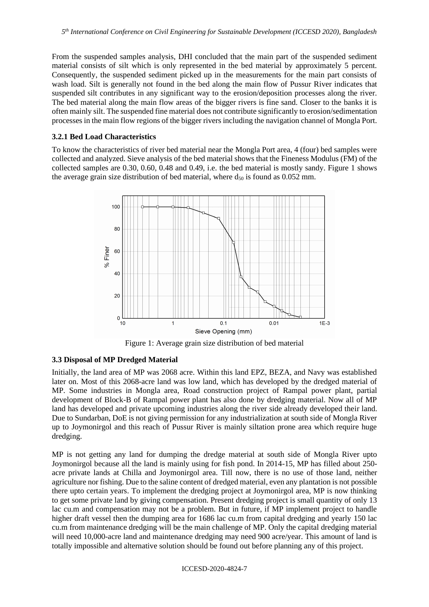From the suspended samples analysis, DHI concluded that the main part of the suspended sediment material consists of silt which is only represented in the bed material by approximately 5 percent. Consequently, the suspended sediment picked up in the measurements for the main part consists of wash load. Silt is generally not found in the bed along the main flow of Pussur River indicates that suspended silt contributes in any significant way to the erosion/deposition processes along the river. The bed material along the main flow areas of the bigger rivers is fine sand. Closer to the banks it is often mainly silt. The suspended fine material does not contribute significantly to erosion/sedimentation processes in the main flow regions of the bigger rivers including the navigation channel of Mongla Port.

#### **3.2.1 Bed Load Characteristics**

To know the characteristics of river bed material near the Mongla Port area, 4 (four) bed samples were collected and analyzed. Sieve analysis of the bed material shows that the Fineness Modulus (FM) of the collected samples are 0.30, 0.60, 0.48 and 0.49, i.e. the bed material is mostly sandy. Figure 1 shows the average grain size distribution of bed material, where  $d_{50}$  is found as 0.052 mm.



Figure 1: Average grain size distribution of bed material

#### **3.3 Disposal of MP Dredged Material**

Initially, the land area of MP was 2068 acre. Within this land EPZ, BEZA, and Navy was established later on. Most of this 2068-acre land was low land, which has developed by the dredged material of MP. Some industries in Mongla area, Road construction project of Rampal power plant, partial development of Block-B of Rampal power plant has also done by dredging material. Now all of MP land has developed and private upcoming industries along the river side already developed their land. Due to Sundarban, DoE is not giving permission for any industrialization at south side of Mongla River up to Joymonirgol and this reach of Pussur River is mainly siltation prone area which require huge dredging.

MP is not getting any land for dumping the dredge material at south side of Mongla River upto Joymonirgol because all the land is mainly using for fish pond. In 2014-15, MP has filled about 250 acre private lands at Chilla and Joymonirgol area. Till now, there is no use of those land, neither agriculture nor fishing. Due to the saline content of dredged material, even any plantation is not possible there upto certain years. To implement the dredging project at Joymonirgol area, MP is now thinking to get some private land by giving compensation. Present dredging project is small quantity of only 13 lac cu.m and compensation may not be a problem. But in future, if MP implement project to handle higher draft vessel then the dumping area for 1686 lac cu.m from capital dredging and yearly 150 lac cu.m from maintenance dredging will be the main challenge of MP. Only the capital dredging material will need 10,000-acre land and maintenance dredging may need 900 acre/year. This amount of land is totally impossible and alternative solution should be found out before planning any of this project.

#### ICCESD-2020-4824-7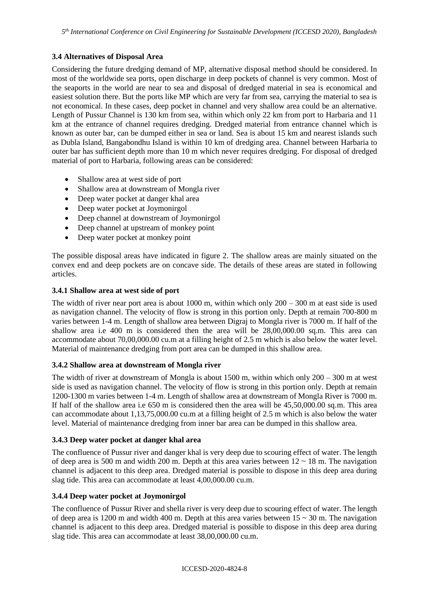# **3.4 Alternatives of Disposal Area**

Considering the future dredging demand of MP, alternative disposal method should be considered. In most of the worldwide sea ports, open discharge in deep pockets of channel is very common. Most of the seaports in the world are near to sea and disposal of dredged material in sea is economical and easiest solution there. But the ports like MP which are very far from sea, carrying the material to sea is not economical. In these cases, deep pocket in channel and very shallow area could be an alternative. Length of Pussur Channel is 130 km from sea, within which only 22 km from port to Harbaria and 11 km at the entrance of channel requires dredging. Dredged material from entrance channel which is known as outer bar, can be dumped either in sea or land. Sea is about 15 km and nearest islands such as Dubla Island, Bangabondhu Island is within 10 km of dredging area. Channel between Harbaria to outer bar has sufficient depth more than 10 m which never requires dredging. For disposal of dredged material of port to Harbaria, following areas can be considered:

- Shallow area at west side of port
- Shallow area at downstream of Mongla river
- Deep water pocket at danger khal area
- Deep water pocket at Joymonirgol
- Deep channel at downstream of Joymonirgol
- Deep channel at upstream of monkey point
- Deep water pocket at monkey point

The possible disposal areas have indicated in figure 2. The shallow areas are mainly situated on the convex end and deep pockets are on concave side. The details of these areas are stated in following articles.

#### **3.4.1 Shallow area at west side of port**

The width of river near port area is about 1000 m, within which only  $200 - 300$  m at east side is used as navigation channel. The velocity of flow is strong in this portion only. Depth at remain 700-800 m varies between 1-4 m. Length of shallow area between Digraj to Mongla river is 7000 m. If half of the shallow area i.e 400 m is considered then the area will be 28,00,000.00 sq.m. This area can accommodate about 70,00,000.00 cu.m at a filling height of 2.5 m which is also below the water level. Material of maintenance dredging from port area can be dumped in this shallow area.

## **3.4.2 Shallow area at downstream of Mongla river**

The width of river at downstream of Mongla is about 1500 m, within which only 200 – 300 m at west side is used as navigation channel. The velocity of flow is strong in this portion only. Depth at remain 1200-1300 m varies between 1-4 m. Length of shallow area at downstream of Mongla River is 7000 m. If half of the shallow area i.e 650 m is considered then the area will be 45,50,000.00 sq.m. This area can accommodate about 1,13,75,000.00 cu.m at a filling height of 2.5 m which is also below the water level. Material of maintenance dredging from inner bar area can be dumped in this shallow area.

## **3.4.3 Deep water pocket at danger khal area**

The confluence of Pussur river and danger khal is very deep due to scouring effect of water. The length of deep area is 500 m and width 200 m. Depth at this area varies between  $12 \sim 18$  m. The navigation channel is adjacent to this deep area. Dredged material is possible to dispose in this deep area during slag tide. This area can accommodate at least 4,00,000.00 cu.m.

## **3.4.4 Deep water pocket at Joymonirgol**

The confluence of Pussur River and shella river is very deep due to scouring effect of water. The length of deep area is 1200 m and width 400 m. Depth at this area varies between  $15 \sim 30$  m. The navigation channel is adjacent to this deep area. Dredged material is possible to dispose in this deep area during slag tide. This area can accommodate at least 38,00,000.00 cu.m.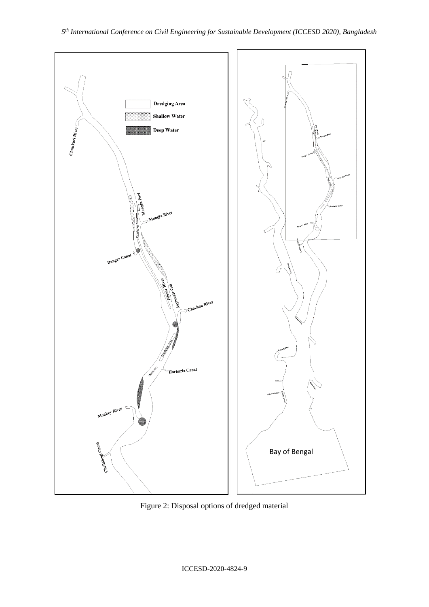

Figure 2: Disposal options of dredged material